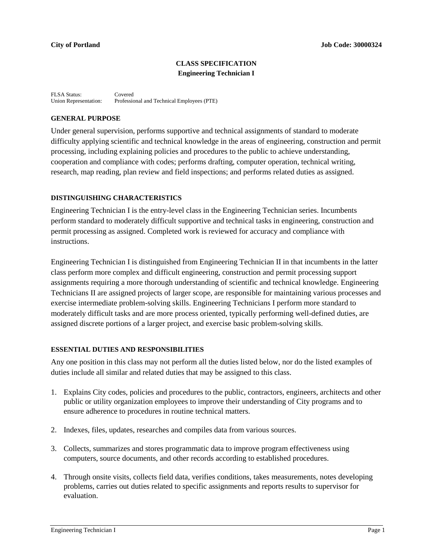# **CLASS SPECIFICATION Engineering Technician I**

FLSA Status: Covered<br>Union Representation: Professie Professional and Technical Employees (PTE)

### **GENERAL PURPOSE**

Under general supervision, performs supportive and technical assignments of standard to moderate difficulty applying scientific and technical knowledge in the areas of engineering, construction and permit processing, including explaining policies and procedures to the public to achieve understanding, cooperation and compliance with codes; performs drafting, computer operation, technical writing, research, map reading, plan review and field inspections; and performs related duties as assigned.

# **DISTINGUISHING CHARACTERISTICS**

Engineering Technician I is the entry-level class in the Engineering Technician series. Incumbents perform standard to moderately difficult supportive and technical tasks in engineering, construction and permit processing as assigned. Completed work is reviewed for accuracy and compliance with instructions.

Engineering Technician I is distinguished from Engineering Technician II in that incumbents in the latter class perform more complex and difficult engineering, construction and permit processing support assignments requiring a more thorough understanding of scientific and technical knowledge. Engineering Technicians II are assigned projects of larger scope, are responsible for maintaining various processes and exercise intermediate problem-solving skills. Engineering Technicians I perform more standard to moderately difficult tasks and are more process oriented, typically performing well-defined duties, are assigned discrete portions of a larger project, and exercise basic problem-solving skills.

#### **ESSENTIAL DUTIES AND RESPONSIBILITIES**

Any one position in this class may not perform all the duties listed below, nor do the listed examples of duties include all similar and related duties that may be assigned to this class.

- 1. Explains City codes, policies and procedures to the public, contractors, engineers, architects and other public or utility organization employees to improve their understanding of City programs and to ensure adherence to procedures in routine technical matters.
- 2. Indexes, files, updates, researches and compiles data from various sources.
- 3. Collects, summarizes and stores programmatic data to improve program effectiveness using computers, source documents, and other records according to established procedures.
- 4. Through onsite visits, collects field data, verifies conditions, takes measurements, notes developing problems, carries out duties related to specific assignments and reports results to supervisor for evaluation.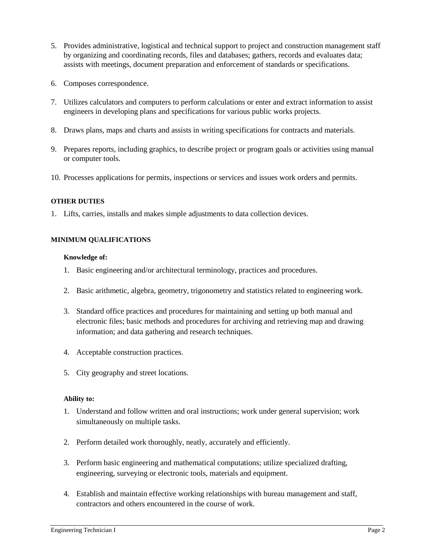- 5. Provides administrative, logistical and technical support to project and construction management staff by organizing and coordinating records, files and databases; gathers, records and evaluates data; assists with meetings, document preparation and enforcement of standards or specifications.
- 6. Composes correspondence.
- 7. Utilizes calculators and computers to perform calculations or enter and extract information to assist engineers in developing plans and specifications for various public works projects.
- 8. Draws plans, maps and charts and assists in writing specifications for contracts and materials.
- 9. Prepares reports, including graphics, to describe project or program goals or activities using manual or computer tools.
- 10. Processes applications for permits, inspections or services and issues work orders and permits.

### **OTHER DUTIES**

1. Lifts, carries, installs and makes simple adjustments to data collection devices.

# **MINIMUM QUALIFICATIONS**

### **Knowledge of:**

- 1. Basic engineering and/or architectural terminology, practices and procedures.
- 2. Basic arithmetic, algebra, geometry, trigonometry and statistics related to engineering work.
- 3. Standard office practices and procedures for maintaining and setting up both manual and electronic files; basic methods and procedures for archiving and retrieving map and drawing information; and data gathering and research techniques.
- 4. Acceptable construction practices.
- 5. City geography and street locations.

# **Ability to:**

- 1. Understand and follow written and oral instructions; work under general supervision; work simultaneously on multiple tasks.
- 2. Perform detailed work thoroughly, neatly, accurately and efficiently.
- 3. Perform basic engineering and mathematical computations; utilize specialized drafting, engineering, surveying or electronic tools, materials and equipment.
- 4. Establish and maintain effective working relationships with bureau management and staff, contractors and others encountered in the course of work.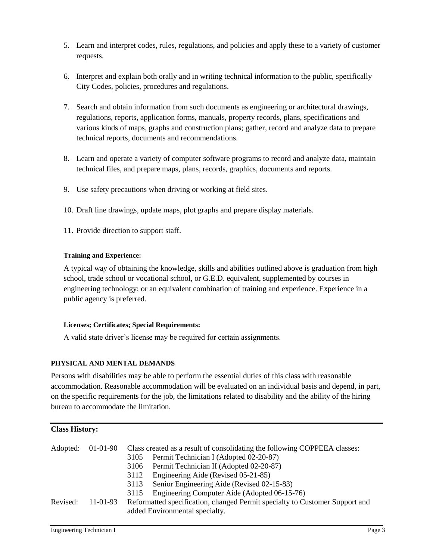- 5. Learn and interpret codes, rules, regulations, and policies and apply these to a variety of customer requests.
- 6. Interpret and explain both orally and in writing technical information to the public, specifically City Codes, policies, procedures and regulations.
- 7. Search and obtain information from such documents as engineering or architectural drawings, regulations, reports, application forms, manuals, property records, plans, specifications and various kinds of maps, graphs and construction plans; gather, record and analyze data to prepare technical reports, documents and recommendations.
- 8. Learn and operate a variety of computer software programs to record and analyze data, maintain technical files, and prepare maps, plans, records, graphics, documents and reports.
- 9. Use safety precautions when driving or working at field sites.
- 10. Draft line drawings, update maps, plot graphs and prepare display materials.
- 11. Provide direction to support staff.

# **Training and Experience:**

A typical way of obtaining the knowledge, skills and abilities outlined above is graduation from high school, trade school or vocational school, or G.E.D. equivalent, supplemented by courses in engineering technology; or an equivalent combination of training and experience. Experience in a public agency is preferred.

# **Licenses; Certificates; Special Requirements:**

A valid state driver's license may be required for certain assignments.

# **PHYSICAL AND MENTAL DEMANDS**

Persons with disabilities may be able to perform the essential duties of this class with reasonable accommodation. Reasonable accommodation will be evaluated on an individual basis and depend, in part, on the specific requirements for the job, the limitations related to disability and the ability of the hiring bureau to accommodate the limitation.

| <b>Class History:</b> |            |                                                                                                               |                                                                                                                                                                              |  |  |
|-----------------------|------------|---------------------------------------------------------------------------------------------------------------|------------------------------------------------------------------------------------------------------------------------------------------------------------------------------|--|--|
| Adopted:              | $01-01-90$ | 3105                                                                                                          | Class created as a result of consolidating the following COPPEEA classes:<br>Permit Technician I (Adopted 02-20-87)                                                          |  |  |
|                       |            | 3106<br>3112<br>3113<br>3115                                                                                  | Permit Technician II (Adopted 02-20-87)<br>Engineering Aide (Revised 05-21-85)<br>Senior Engineering Aide (Revised 02-15-83)<br>Engineering Computer Aide (Adopted 06-15-76) |  |  |
| Revised:              | $11-01-93$ | Reformatted specification, changed Permit specialty to Customer Support and<br>added Environmental specialty. |                                                                                                                                                                              |  |  |